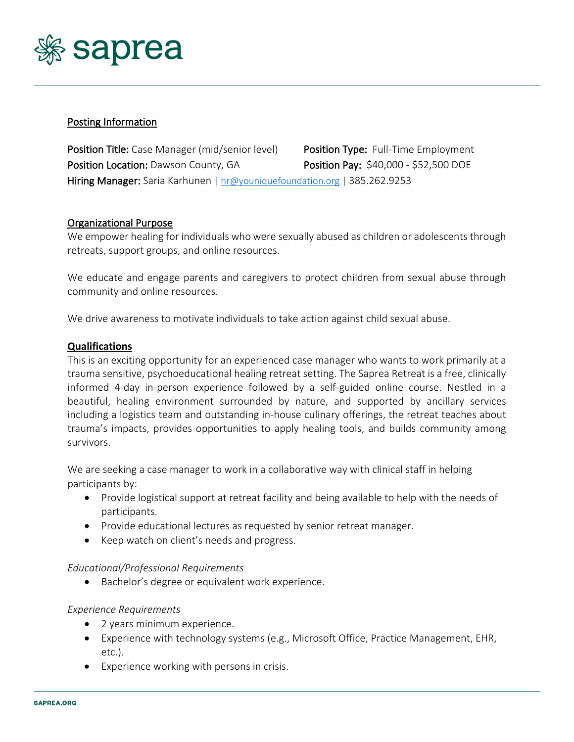

# Posting Information

Position Title: Case Manager (mid/senior level) Position Type: Full-Time Employment Position Location: Dawson County, GA Position Pay: \$40,000 - \$52,500 DOE Hiring Manager: Saria Karhunen | hr@youniquefoundation.org | 385.262.9253

### Organizational Purpose

We empower healing for individuals who were sexually abused as children or adolescents through retreats, support groups, and online resources.

We educate and engage parents and caregivers to protect children from sexual abuse through community and online resources.

We drive awareness to motivate individuals to take action against child sexual abuse.

#### **Qualifications**

This is an exciting opportunity for an experienced case manager who wants to work primarily at a trauma sensitive, psychoeducational healing retreat setting. The Saprea Retreat is a free, clinically informed 4-day in-person experience followed by a self-guided online course. Nestled in a beautiful, healing environment surrounded by nature, and supported by ancillary services including a logistics team and outstanding in-house culinary offerings, the retreat teaches about trauma's impacts, provides opportunities to apply healing tools, and builds community among survivors.

We are seeking a case manager to work in a collaborative way with clinical staff in helping participants by:

- Provide logistical support at retreat facility and being available to help with the needs of participants.
- Provide educational lectures as requested by senior retreat manager.
- Keep watch on client's needs and progress.

#### *Educational/Professional Requirements*

• Bachelor's degree or equivalent work experience.

#### *Experience Requirements*

- 2 years minimum experience.
- Experience with technology systems (e.g., Microsoft Office, Practice Management, EHR, etc.).
- Experience working with persons in crisis.